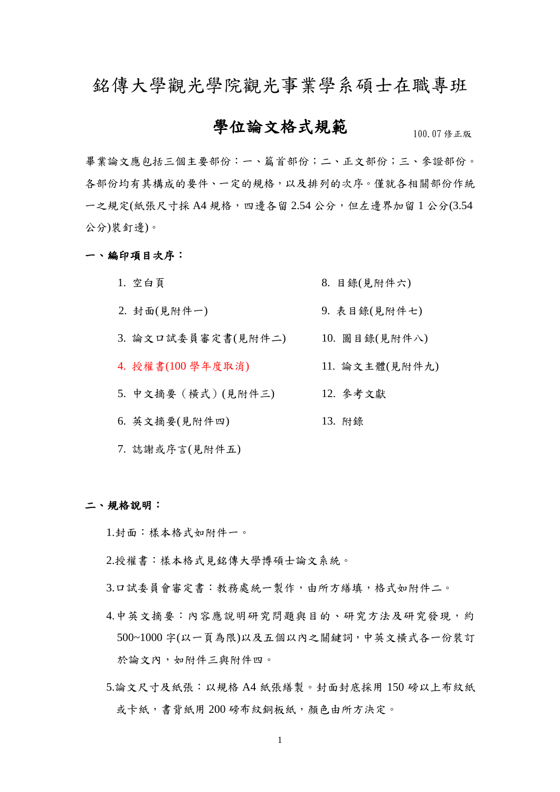銘傳大學觀光學院觀光事業學系碩士在職專班

## 學位論文格式規範

100.07 修正版

畢業論文應包括三個主要部份:一、篇首部份;二、正文部份;三、參證部份。 各部份均有其構成的要件、一定的規格,以及排列的次序。僅就各相關部份作統 一之規定(紙張尺寸採 A4 規格, 四邊各留 2.54 公分, 但左邊界加留 1 公分(3.54 公分)裝釘邊)。

一、編印項目次序:

- 1. 空白頁 8. 目錄(見附件六)
- 2. 封面(見附件一) 9. 表目錄(見附件七)
- 3. 論文口試委員審定書(見附件二) 10. 圖目錄(見附件八)
- 4. 授權書(100 學年度取消) 11. 論文主體(見附件九)
- 5. 中文摘要(橫式)(見附件三) 12. 參考文獻
- 6. 英文摘要(見附件四) 13. 附錄
- 7. 誌謝或序言(見附件五)

二、規格說明:

1.封面:樣本格式如附件一。

- 2.授權書:樣本格式見銘傳大學博碩士論文系統。
- 3.口試委員會審定書:教務處統一製作,由所方繕填,格式如附件二。
- 4.中英文摘要:內容應說明研究問題與目的、研究方法及研究發現,約 500~1000 字(以一頁為限)以及五個以內之關鍵詞,中英文橫式各一份裝訂 於論文內,如附件三與附件四。
- 5.論文尺寸及紙張:以規格 A4 紙張繕製。封面封底採用 150 磅以上布紋紙 或卡紙,書背紙用 200 磅布紋銅板紙,顏色由所方決定。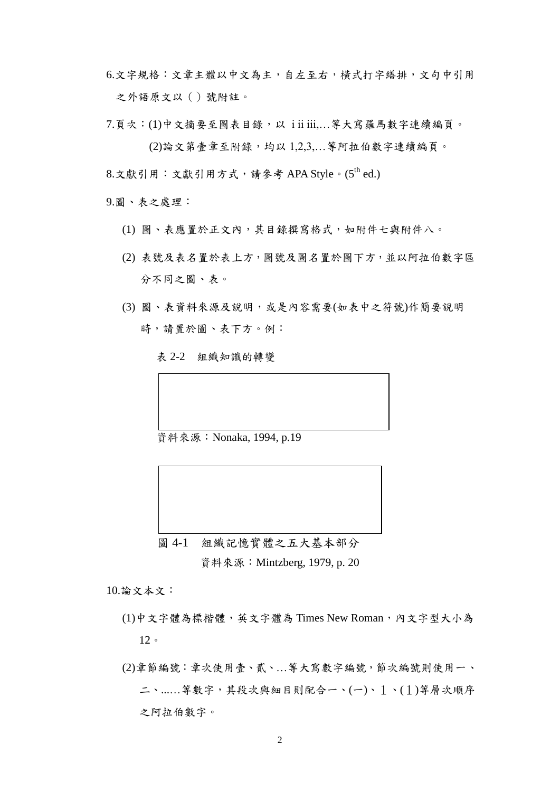- 6.文字規格:文章主體以中文為主,自左至右,橫式打字繕排,文句中引用 之外語原文以()號附註。
- $7.\overline{5}$   $\overline{4}$   $\overline{5}$   $(1)$ 中文摘要至圖表目錄, 以 i ii iii,...等大寫羅馬數字連續編頁。 (2)論文第壹章至附錄,均以 1,2,3,…等阿拉伯數字連續編頁。
- $8.$ 文獻引用: 文獻引用方式,請參考 APA Style。(5<sup>th</sup> ed.)

9.圖、表之處理:

- (1) 圖、表應置於正文內,其目錄撰寫格式,如附件七與附件八。
- (2) 表號及表名置於表上方,圖號及圖名置於圖下方,並以阿拉伯數字區 分不同之圖、表。
- (3) 圖、表資料來源及說明,或是內容需要(如表中之符號)作簡要說明 時,請置於圖、表下方。例:

表 2-2 組織知識的轉變

資料來源:Nonaka, 1994, p.19

圖 4-1 組織記憶實體之五大基本部分 資料來源:Mintzberg, 1979, p. 20

10.論文本文:

- (1)中文字體為標楷體, 英文字體為 Times New Roman, 內文字型大小為 12。
- (2)章節編號:章次使用壹、貳、…等大寫數字編號,節次編號則使用一、 二、...…等數字,其段次與細目則配合一、(一)、1、(1)等層次順序 之阿拉伯數字。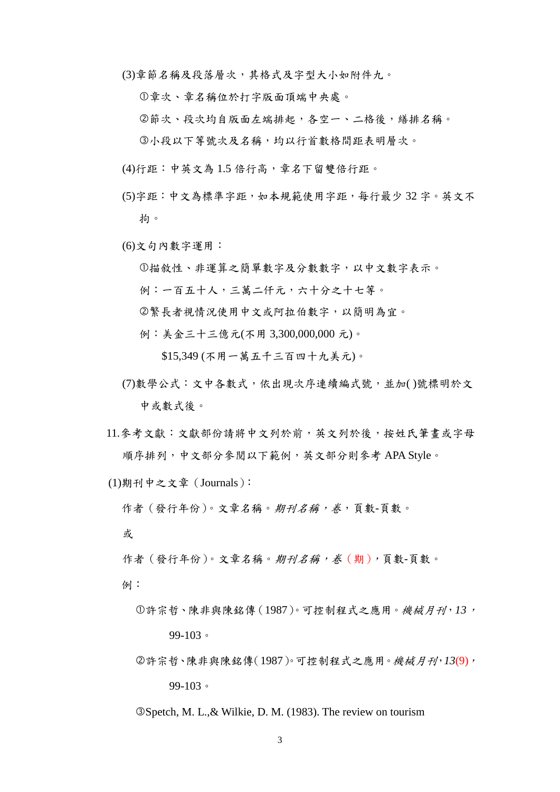(3)章節名稱及段落層次,其格式及字型大小如附件九。

章次、章名稱位於打字版面頂端中央處。

節次、段次均自版面左端排起,各空一、二格後,繕排名稱。

小段以下等號次及名稱,均以行首數格間距表明層次。

- (4)行距:中英文為 1.5 倍行高,章名下留雙倍行距。
- (5)字距:中文為標準字距,如本規範使用字距,每行最少 32 字。英文不 拘。
- (6)文句內數字運用:

描敘性、非運算之簡單數字及分數數字,以中文數字表示。

- 例:一百五十人,三萬二仟元,六十分之十七等。
- 繁長者視情況使用中文或阿拉伯數字,以簡明為宜。
- 例:美金三十三億元(不用 3,300,000,000 元)。

\$15,349 (不用一萬五千三百四十九美元)。

- (7)數學公式:文中各數式,依出現次序連續編式號,並加( )號標明於文 中或數式後。
- 11.參考文獻:文獻部份請將中文列於前,英文列於後,按姓氏筆畫或字母 順序排列,中文部分參閱以下範例,英文部分則參考 APA Style。

(1)期刊中之文章(Journals):

作者 (發行年份)。文章名稱。期刊名稱,卷,頁數-頁數。

或

作者 (發行年份)。文章名稱。期刊名稱,卷(期),頁數-頁數。

例:

- 許宗哲、陳非與陳銘傳(1987)。可控制程式之應用。機械月刊,*13*, 99-103。
- 許宗哲、陳非與陳銘傳(1987)。可控制程式之應用。機械月刊,*13*(9), 99-103。

Spetch, M. L.,& Wilkie, D. M. (1983). The review on tourism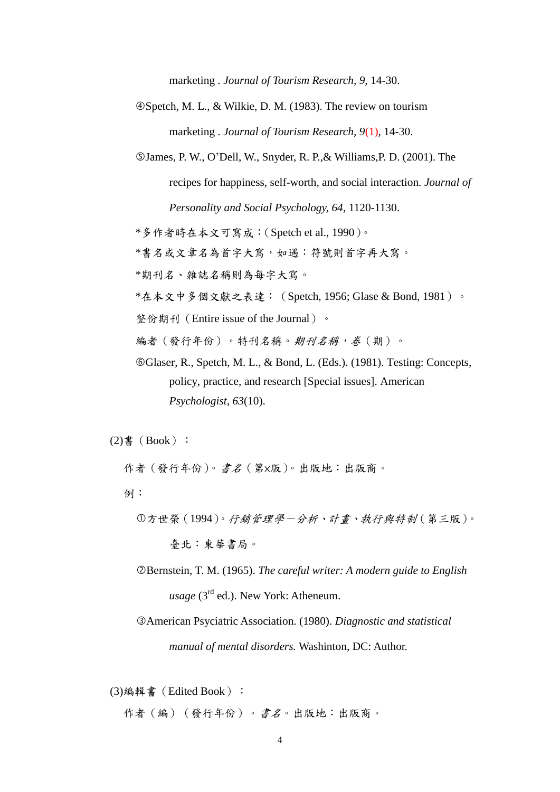marketing . *Journal of Tourism Research, 9,* 14-30.

Spetch, M. L., & Wilkie, D. M. (1983). The review on tourism marketing . *Journal of Tourism Research, 9*(1)*,* 14-30.

James, P. W., O'Dell, W., Snyder, R. P.,& Williams,P. D. (2001). The

recipes for happiness, self-worth, and social interaction. *Journal of Personality and Social Psychology, 64*, 1120-1130.

\*多作者時在本文可寫成:(Spetch et al., 1990)。

\*書名或文章名為首字大寫,如遇:符號則首字再大寫。

\*期刊名、雜誌名稱則為每字大寫。

\*在本文中多個文獻之表達:(Spetch, 1956; Glase & Bond, 1981)。

整份期刊(Entire issue of the Journal)。

編者(發行年份)。特刊名稱。*期刊名稱,卷*(期)。

Glaser, R., Spetch, M. L., & Bond, L. (Eds.). (1981). Testing: Concepts, policy, practice, and research [Special issues]. American *Psychologist, 63*(10).

 $(2)$ 書 $(Book)$ :

作者(發行年份)。書名(第×版)。出版地:出版商。

例:

- 方世榮(1994)。行銷管理學-分析、計畫、執行與特制(第三版)。 臺北:東華書局。
- Bernstein, T. M. (1965). *The careful writer: A modern guide to English usage* (3<sup>rd</sup> ed.). New York: Atheneum.
- American Psyciatric Association. (1980). *Diagnostic and statistical manual of mental disorders.* Washinton, DC: Author.

(3)編輯書(Edited Book):

作者(編)(發行年份)。書名。出版地:出版商。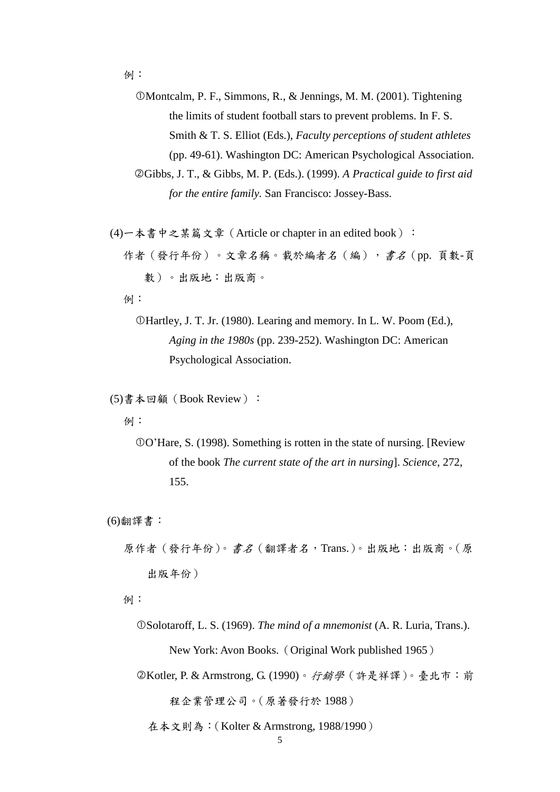例:

Montcalm, P. F., Simmons, R., & Jennings, M. M. (2001). Tightening the limits of student football stars to prevent problems. In F. S. Smith & T. S. Elliot (Eds.), *Faculty perceptions of student athletes*  (pp. 49-61). Washington DC: American Psychological Association. Gibbs, J. T., & Gibbs, M. P. (Eds.). (1999). *A Practical guide to first aid for the entire family.* San Francisco: Jossey-Bass.

(4) 一本書中之某篇文章 (Article or chapter in an edited book): 作者(發行年份)。文章名稱。載於編者名(編),書名(pp. 頁數-頁 數)。出版地:出版商。

例:

Hartley, J. T. Jr. (1980). Learing and memory. In L. W. Poom (Ed.), *Aging in the 1980s* (pp. 239-252). Washington DC: American Psychological Association.

(5)書本回顧(Book Review):

例:

O'Hare, S. (1998). Something is rotten in the state of nursing. [Review of the book *The current state of the art in nursing*]. *Science*, 272, 155.

(6)翻譯書:

原作者(發行年份)。書名(翻譯者名,Trans.)。出版地:出版商。(原 出版年份)

例:

Solotaroff, L. S. (1969). *The mind of a mnemonist* (A. R. Luria, Trans.). New York: Avon Books.(Original Work published 1965)

Kotler, P. & Armstrong, G. (1990)。行銷學(許是祥譯)。臺北市:前

程企業管理公司。(原著發行於 1988)

在本文則為:(Kolter & Armstrong, 1988/1990)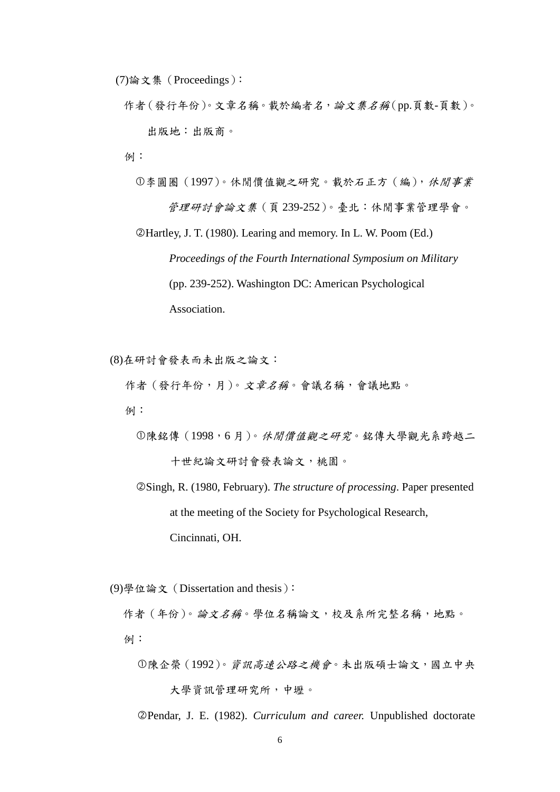(7)論文集(Proceedings):

作者(發行年份)。文章名稱。載於編者名,論文集名稱(pp.頁數-頁數)。 出版地:出版商。

例:

李圓圈(1997)。休閒價值觀之研究。載於石正方(編),休閒事業 管理研討會論文集(頁 239-252)。臺北:休閒事業管理學會。

Hartley, J. T. (1980). Learing and memory. In L. W. Poom (Ed.) *Proceedings of the Fourth International Symposium on Military*  (pp. 239-252). Washington DC: American Psychological Association.

(8)在研討會發表而未出版之論文:

作者(發行年份,月)。文章名稱。會議名稱,會議地點。

例:

 陳銘傳(1998,6 月)。休閒價值觀之研究。銘傳大學觀光系跨越二 十世紀論文研討會發表論文,桃園。

 Singh, R. (1980, February). *The structure of processing*. Paper presented at the meeting of the Society for Psychological Research, Cincinnati, OH.

(9)學位論文(Dissertation and thesis):

作者 (年份)。論文名稱。學位名稱論文,校及系所完整名稱,地點。 例:

陳企榮(1992)。資訊高速公路之機會。未出版碩士論文,國立中央 大學資訊管理研究所,中壢。

Pendar, J. E. (1982). *Curriculum and career.* Unpublished doctorate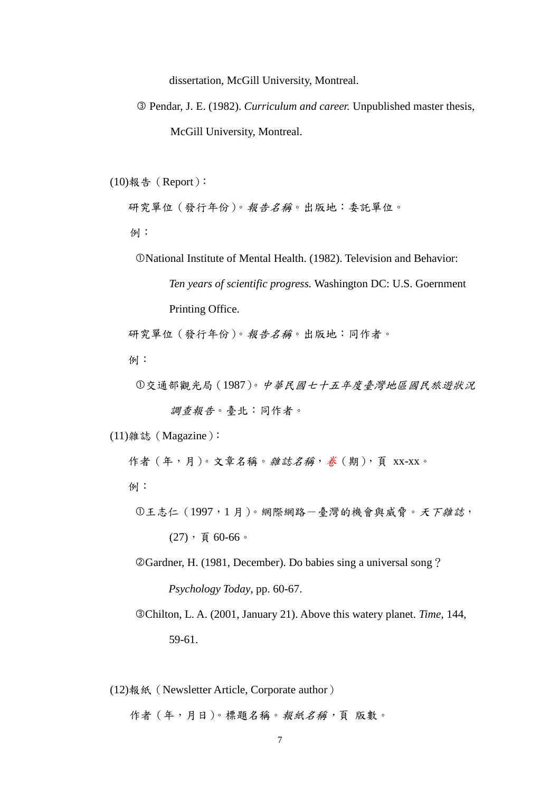dissertation, McGill University, Montreal.

 Pendar, J. E. (1982). *Curriculum and career.* Unpublished master thesis, McGill University, Montreal.

 $(10)$ 報告 (Report):

研究單位(發行年份)。報告名稱。出版地:委託單位。

例:

National Institute of Mental Health. (1982). Television and Behavior:

*Ten years of scientific progress.* Washington DC: U.S. Goernment Printing Office.

研究單位(發行年份)。報告名稱。出版地:同作者。

例:

交通部觀光局(1987)。中華民國七十五年度臺灣地區國民旅遊狀況

調查報告。臺北:同作者。

(11)雜誌(Magazine):

作者 (年,月)。文章名稱。雜誌名稱, 卷 (期), 頁 xx-xx。

例:

王志仁(1997,1 月)。網際網路-臺灣的機會與威脅。天下雜誌,  $(27)$ , 頁 60-66。

Gardner, H. (1981, December). Do babies sing a universal song? *Psychology Today*, pp. 60-67.

Chilton, L. A. (2001, January 21). Above this watery planet. *Time*, 144, 59-61.

(12)報紙(Newsletter Article, Corporate author)

作者(年,月日)。標題名稱。報紙名稱,頁版數。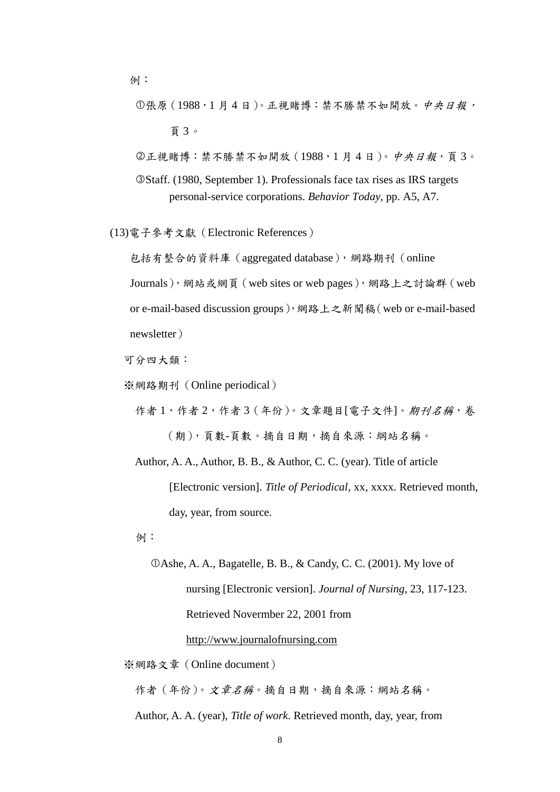- 例:
	- 張原(1988,1 月 4 日)。正視賭博:禁不勝禁不如開放。中央日報, 頁 3。
	- 正視賭博:禁不勝禁不如開放(1988,1 月 4 日)。中央日報,頁 3。
	- Staff. (1980, September 1). Professionals face tax rises as IRS targets personal-service corporations. *Behavior Today*, pp. A5, A7.
- (13)電子參考文獻(Electronic References)

包括有整合的資料庫(aggregated database),網路期刊(online Journals),網站或網頁(web sites or web pages),網路上之討論群(web or e-mail-based discussion groups),網路上之新聞稿(web or e-mail-based newsletter)

可分四大類:

※網路期刊(Online periodical)

作者1,作者2,作者3(年份)。文章題目[電子文件]。期刊名稱,卷 (期),頁數-頁數。摘自日期,摘自來源:綱站名稱。

 Author, A. A., Author, B. B., & Author, C. C. (year). Title of article [Electronic version]. *Title of Periodical*, xx, xxxx. Retrieved month, day, year, from source.

例:

Ashe, A. A., Bagatelle, B. B., & Candy, C. C. (2001). My love of nursing [Electronic version]. *Journal of Nursing*, 23, 117-123. Retrieved Novermber 22, 2001 from

## [http://www.journalo](http://www.journal/)fnursing.com

※網路文章(Online document)

作者(年份)。文章名稱。摘自日期,摘自來源:網站名稱。

Author, A. A. (year), *Title of work*. Retrieved month, day, year, from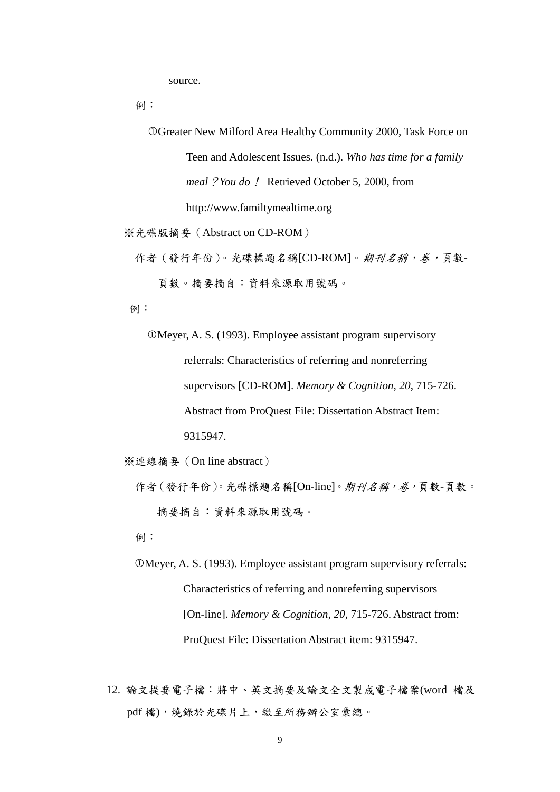source.

例:

Greater New Milford Area Healthy Community 2000, Task Force on

Teen and Adolescent Issues. (n.d.). *Who has time for a family meal*?*You do*! Retrieved October 5, 2000, from

http://www.familtymealtime.org

※光碟版摘要(Abstract on CD-ROM)

作者(發行年份)。光碟標題名稱[CD-ROM]。期刊名稱,卷,頁數-

頁數。摘要摘自:資料來源取用號碼。

例:

Meyer, A. S. (1993). Employee assistant program supervisory referrals: Characteristics of referring and nonreferring supervisors [CD-ROM]. *Memory & Cognition, 20*, 715-726. Abstract from ProQuest File: Dissertation Abstract Item: 9315947.

※連線摘要(On line abstract)

作者(發行年份)。光碟標題名稱[On-line]。期刊名稱,卷,頁數-頁數。 摘要摘自:資料來源取用號碼。

例:

 Meyer, A. S. (1993). Employee assistant program supervisory referrals: Characteristics of referring and nonreferring supervisors [On-line]. *Memory & Cognition, 20, 715-726. Abstract from:* ProQuest File: Dissertation Abstract item: 9315947.

12. 論文提要電子檔:將中、英文摘要及論文全文製成電子檔案(word 檔及 pdf 檔),燒錄於光碟片上,繳至所務辦公室彙總。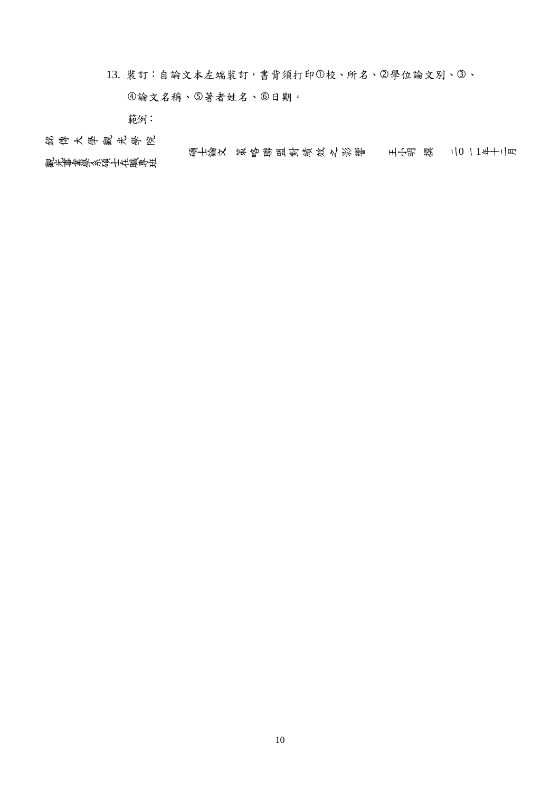13. 裝訂:自論文本左端裝訂,書背須打印1校、所名、2學位論文別、3、

4論文名稱、5著者姓名、6日期。

範例:

銘 傳 大學觀 光學院

碩士論文 策略聯盟對績效之影響 王小明 撰 二0 一1年十二月 観光事業學系碩士在職專班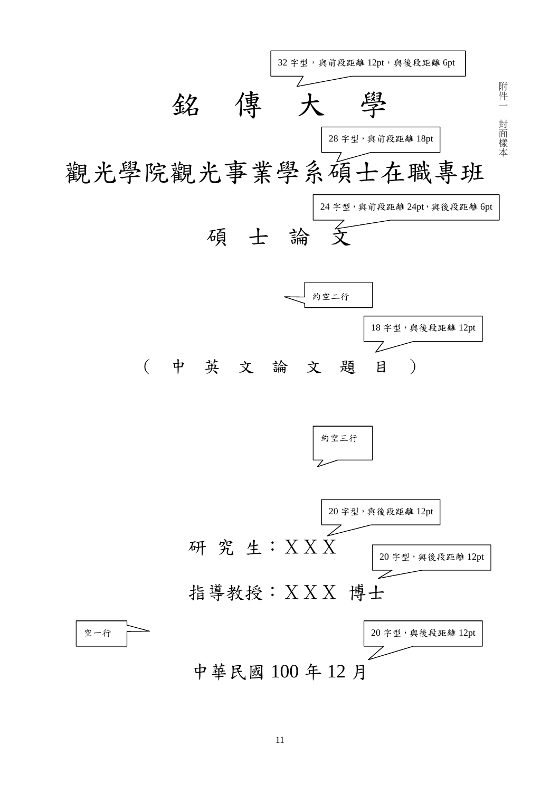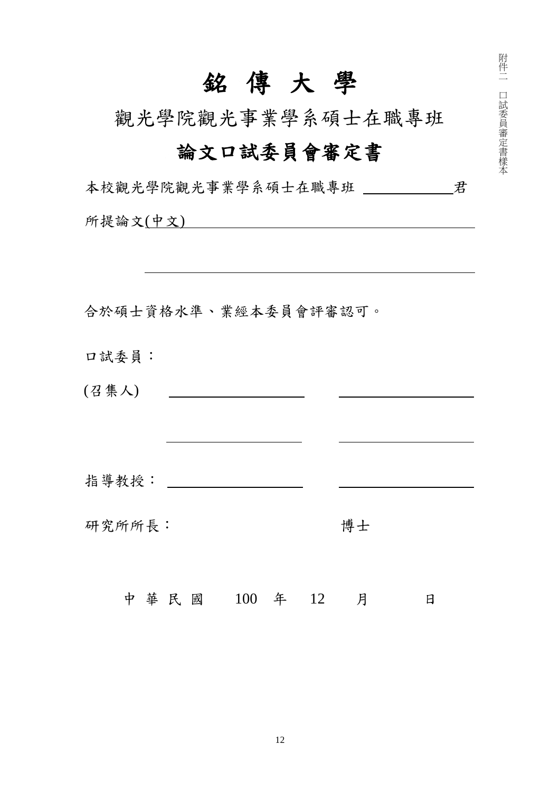## 銘 傳 大 學

附 件 二

口 試 委 員 審 定 書 樣 本

觀光學院觀光事業學系碩士在職專班

## 論文口試委員會審定書

| 本校觀光學院觀光事業學系碩士在職專班 _____ |               |  |    | 君 |
|--------------------------|---------------|--|----|---|
| 所提論文(中文) 2010年1月11日      |               |  |    |   |
|                          |               |  |    |   |
|                          |               |  |    |   |
| 合於碩士資格水準、業經本委員會評審認可。     |               |  |    |   |
| 口試委員:                    |               |  |    |   |
| (召集人)                    |               |  |    |   |
|                          |               |  |    |   |
|                          |               |  |    |   |
|                          |               |  |    |   |
| 研究所所長:                   |               |  | 博士 |   |
|                          | 中華民國 100 年 12 |  | 月  | 日 |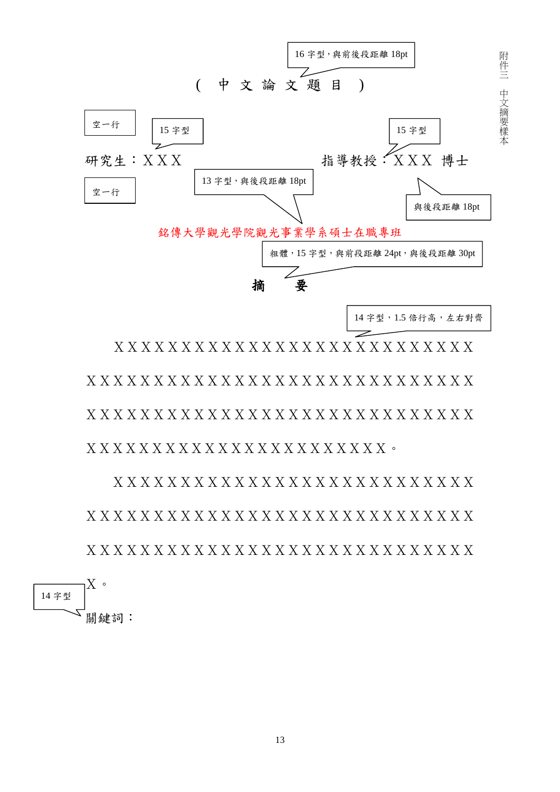

XXXXXXXXXXXXXXXXXXXXXXXXXXX XXXXXXXXXXXXXXXXXXXXXXXXXXXXX XXXXXXXXXXXXXXXXXXXXXXXXXXXXX XXXXXXXXXXXXXXXXXXXXXXX。

 XXXXXXXXXXXXXXXXXXXXXXXXXXX XXXXXXXXXXXXXXXXXXXXXXXXXXXXX XXXXXXXXXXXXXXXXXXXXXXXXXXXXX

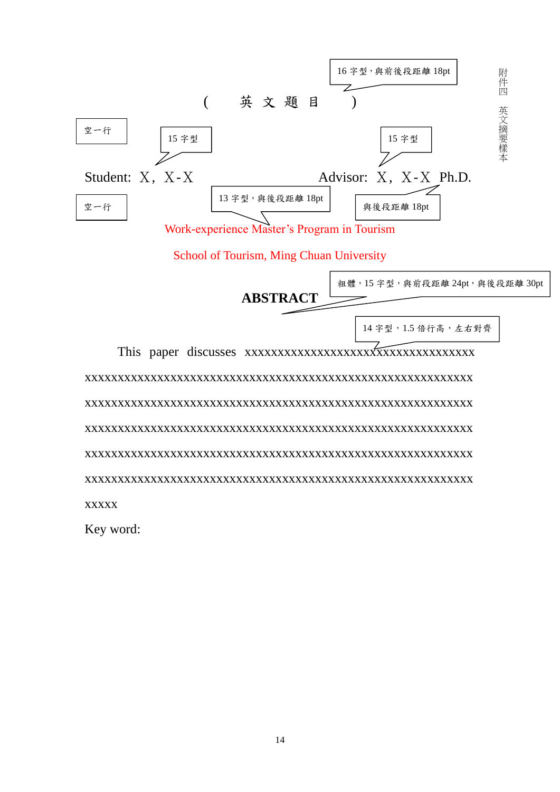

**ABSTRACT**

14 字型,1.5 倍行高,左右對齊

, 15 字型, 與前段距離 24pt, 與後段距離 30pt

 This paper discusses xxxxxxxxxxxxxxxxxxxxxxxxxxxxxxxxxxx xxxxxxxxxxxxxxxxxxxxxxxxxxxxxxxxxxxxxxxxxxxxxxxxxxxxxxxxxxx xxxxxxxxxxxxxxxxxxxxxxxxxxxxxxxxxxxxxxxxxxxxxxxxxxxxxxxxxxx xxxxxxxxxxxxxxxxxxxxxxxxxxxxxxxxxxxxxxxxxxxxxxxxxxxxxxxxxxx xxxxxxxxxxxxxxxxxxxxxxxxxxxxxxxxxxxxxxxxxxxxxxxxxxxxxxxxxxx xxxxxxxxxxxxxxxxxxxxxxxxxxxxxxxxxxxxxxxxxxxxxxxxxxxxxxxxxxx xxxxx

Key word: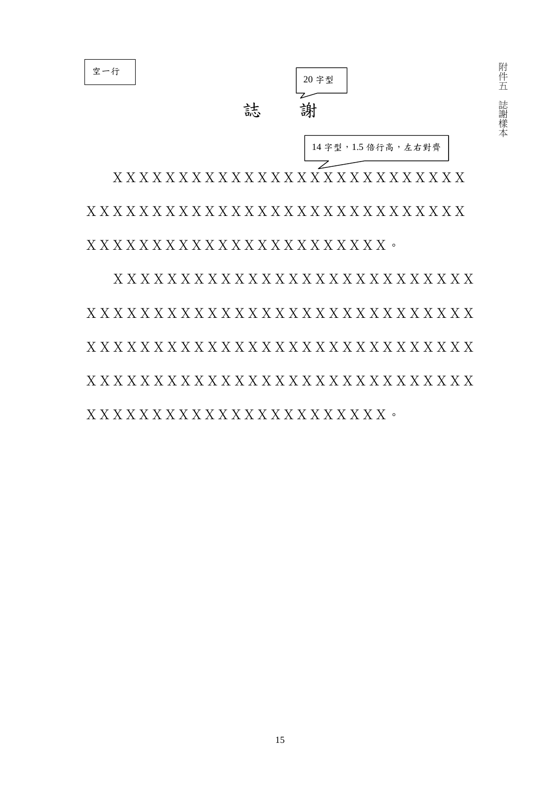

空一行

附 件 五 誌 謝 樣 本

 XXXXXXXXXXXXXXXXXXXXXXXXXXX XXXXXXXXXXXXXXXXXXXXXXXXXXXXX XXXXXXXXXXXXXXXXXXXXXXX。

 XXXXXXXXXXXXXXXXXXXXXXXXXXX XXXXXXXXXXXXXXXXXXXXXXXXXXXXX XXXXXXXXXXXXXXXXXXXXXXXXXXXXX XXXXXXXXXXXXXXXXXXXXXXXXXXXXX XXXXXXXXXXXXXXXXXXXXXXX。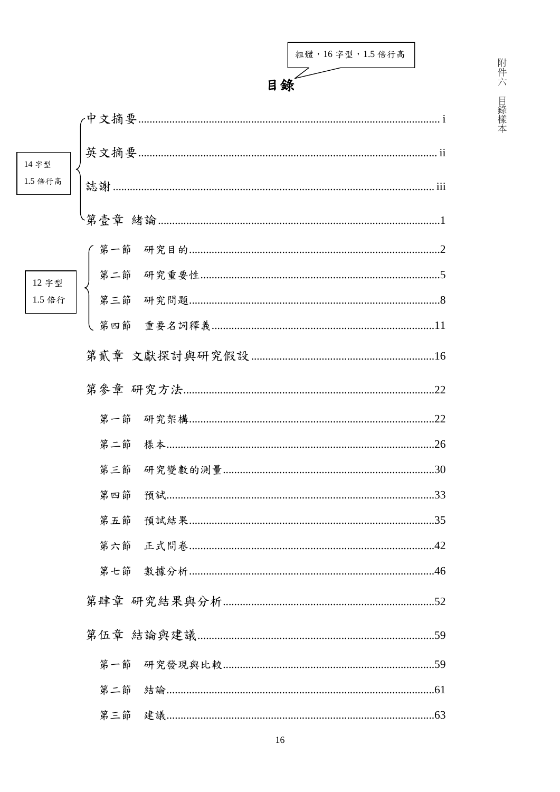|         |     | 粗體, 16字型, 1.5 倍行高 |     |
|---------|-----|-------------------|-----|
|         |     | 目錄                |     |
|         |     |                   |     |
| 14 字型   |     |                   |     |
| 1.5 倍行高 |     |                   |     |
|         |     |                   |     |
|         |     |                   |     |
| 12 字型   |     |                   |     |
| 1.5 倍行  |     |                   |     |
|         |     |                   |     |
|         |     |                   |     |
|         |     |                   |     |
|         |     |                   | .22 |
|         |     |                   |     |
|         |     |                   |     |
|         | 第四節 |                   |     |
|         | 第五節 |                   |     |
|         | 第六節 |                   |     |
|         | 第七節 |                   |     |
|         |     |                   |     |
|         |     |                   |     |
|         |     |                   |     |

第一節 第二節

第三節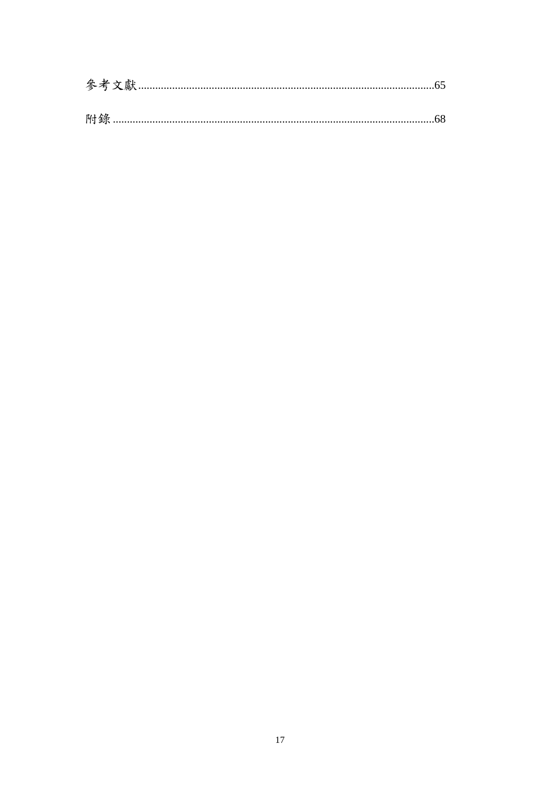| 附錄 |  |
|----|--|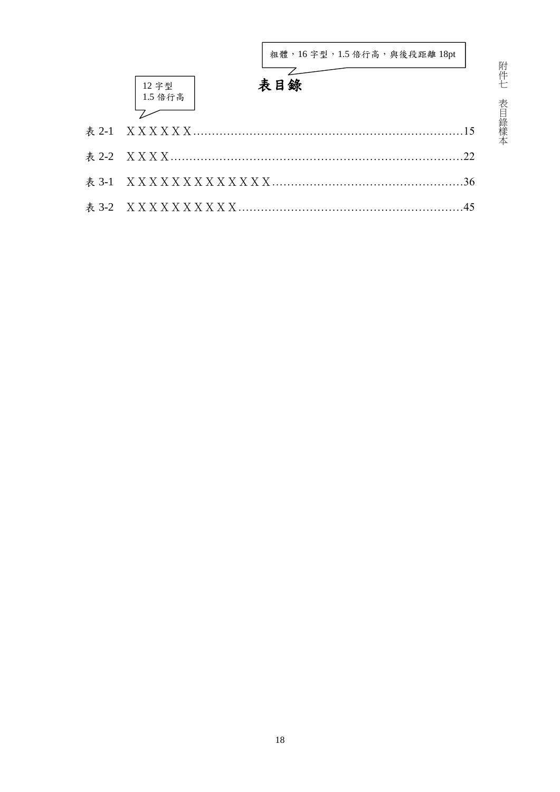| 粗體, 16字型, 1.5 倍行高, 與後段距離 18pt |    |
|-------------------------------|----|
| 表目錄<br>12 字型<br>1.5 倍行高       |    |
|                               |    |
|                               | 22 |
|                               | 36 |
|                               | 45 |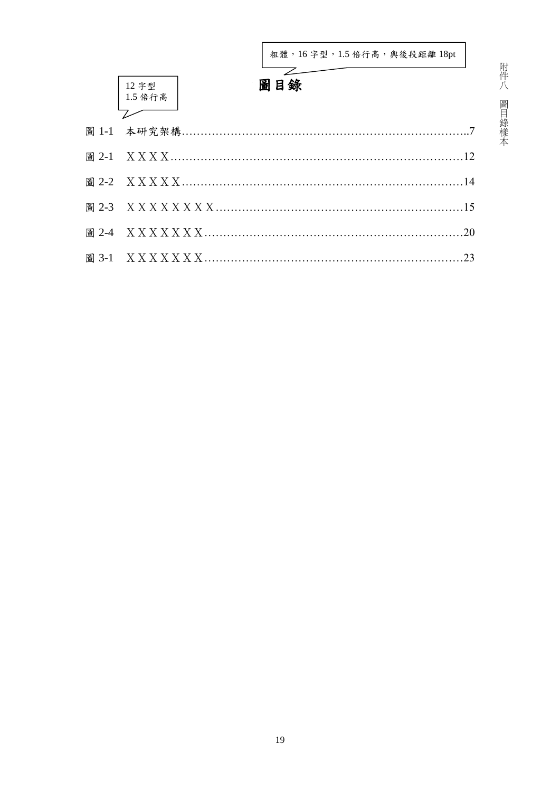本

|       | 粗體, 16字型, 1.5 倍行高, 與後段距離 18pt |
|-------|-------------------------------|
|       | 圖目錄<br>12 字型<br>1.5 倍行高       |
|       |                               |
|       |                               |
|       |                               |
|       |                               |
|       |                               |
|       | .20                           |
| 圖 3-1 | 23                            |